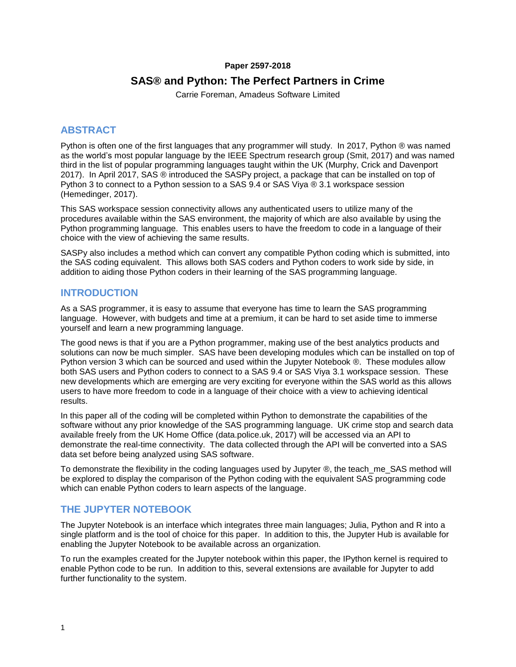## **Paper 2597-2018**

# **SAS® and Python: The Perfect Partners in Crime**

Carrie Foreman, Amadeus Software Limited

# **ABSTRACT**

Python is often one of the first languages that any programmer will study. In 2017, Python ® was named as the world's most popular language by the IEEE Spectrum research group (Smit, 2017) and was named third in the list of popular programming languages taught within the UK (Murphy, Crick and Davenport 2017). In April 2017, SAS ® introduced the SASPy project, a package that can be installed on top of Python 3 to connect to a Python session to a SAS 9.4 or SAS Viya ® 3.1 workspace session (Hemedinger, 2017).

This SAS workspace session connectivity allows any authenticated users to utilize many of the procedures available within the SAS environment, the majority of which are also available by using the Python programming language. This enables users to have the freedom to code in a language of their choice with the view of achieving the same results.

SASPy also includes a method which can convert any compatible Python coding which is submitted, into the SAS coding equivalent. This allows both SAS coders and Python coders to work side by side, in addition to aiding those Python coders in their learning of the SAS programming language.

# **INTRODUCTION**

As a SAS programmer, it is easy to assume that everyone has time to learn the SAS programming language. However, with budgets and time at a premium, it can be hard to set aside time to immerse yourself and learn a new programming language.

The good news is that if you are a Python programmer, making use of the best analytics products and solutions can now be much simpler. SAS have been developing modules which can be installed on top of Python version 3 which can be sourced and used within the Jupyter Notebook ®. These modules allow both SAS users and Python coders to connect to a SAS 9.4 or SAS Viya 3.1 workspace session. These new developments which are emerging are very exciting for everyone within the SAS world as this allows users to have more freedom to code in a language of their choice with a view to achieving identical results.

In this paper all of the coding will be completed within Python to demonstrate the capabilities of the software without any prior knowledge of the SAS programming language. UK crime stop and search data available freely from the UK Home Office (data.police.uk, 2017) will be accessed via an API to demonstrate the real-time connectivity. The data collected through the API will be converted into a SAS data set before being analyzed using SAS software.

To demonstrate the flexibility in the coding languages used by Jupyter ®, the teach me SAS method will be explored to display the comparison of the Python coding with the equivalent SAS programming code which can enable Python coders to learn aspects of the language.

# **THE JUPYTER NOTEBOOK**

The Jupyter Notebook is an interface which integrates three main languages; Julia, Python and R into a single platform and is the tool of choice for this paper. In addition to this, the Jupyter Hub is available for enabling the Jupyter Notebook to be available across an organization.

To run the examples created for the Jupyter notebook within this paper, the IPython kernel is required to enable Python code to be run. In addition to this, several extensions are available for Jupyter to add further functionality to the system.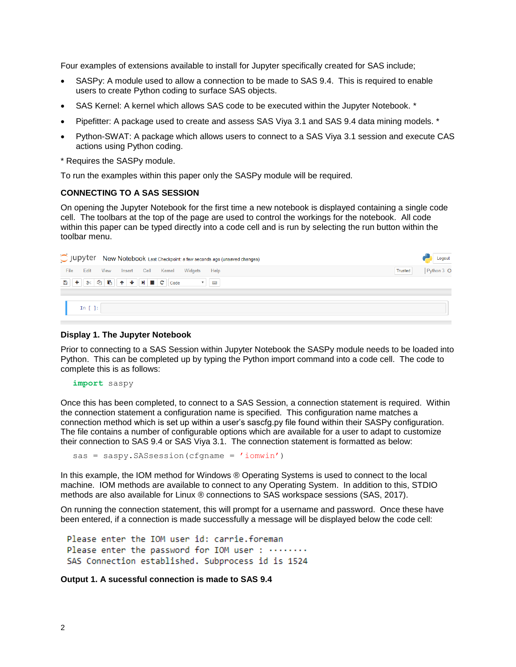Four examples of extensions available to install for Jupyter specifically created for SAS include;

- SASPy: A module used to allow a connection to be made to SAS 9.4. This is required to enable users to create Python coding to surface SAS objects.
- SAS Kernel: A kernel which allows SAS code to be executed within the Jupyter Notebook. \*
- Pipefitter: A package used to create and assess SAS Viya 3.1 and SAS 9.4 data mining models. \*
- Python-SWAT: A package which allows users to connect to a SAS Viya 3.1 session and execute CAS actions using Python coding.
- \* Requires the SASPy module.

To run the examples within this paper only the SASPy module will be required.

### **CONNECTING TO A SAS SESSION**

On opening the Jupyter Notebook for the first time a new notebook is displayed containing a single code cell. The toolbars at the top of the page are used to control the workings for the notebook. All code within this paper can be typed directly into a code cell and is run by selecting the run button within the toolbar menu.

|      |                            |                              |  |                 | C JUDYTET New Notebook Last Checkpoint: a few seconds ago (unsaved changes) |                | Logout     |
|------|----------------------------|------------------------------|--|-----------------|-----------------------------------------------------------------------------|----------------|------------|
| File |                            | Edit View Insert Cell Kernel |  | Widgets<br>Help |                                                                             | <b>Trusted</b> | Python 3 O |
|      |                            |                              |  |                 |                                                                             |                |            |
|      |                            |                              |  |                 |                                                                             |                |            |
|      | In $\lceil \cdot \rceil$ : |                              |  |                 |                                                                             |                |            |

#### **Display 1. The Jupyter Notebook**

Prior to connecting to a SAS Session within Jupyter Notebook the SASPy module needs to be loaded into Python. This can be completed up by typing the Python import command into a code cell. The code to complete this is as follows:

**import** saspy

Once this has been completed, to connect to a SAS Session, a connection statement is required. Within the connection statement a configuration name is specified. This configuration name matches a connection method which is set up within a user's sascfg.py file found within their SASPy configuration. The file contains a number of configurable options which are available for a user to adapt to customize their connection to SAS 9.4 or SAS Viya 3.1. The connection statement is formatted as below:

```
sas = saspy.SASsession(cfgname = 'iomwin')
```
In this example, the IOM method for Windows ® Operating Systems is used to connect to the local machine. IOM methods are available to connect to any Operating System. In addition to this, STDIO methods are also available for Linux ® connections to SAS workspace sessions (SAS, 2017).

On running the connection statement, this will prompt for a username and password. Once these have been entered, if a connection is made successfully a message will be displayed below the code cell:

```
Please enter the IOM user id: carrie.foreman
Please enter the password for IOM user: ........
SAS Connection established. Subprocess id is 1524
```
## **Output 1. A sucessful connection is made to SAS 9.4**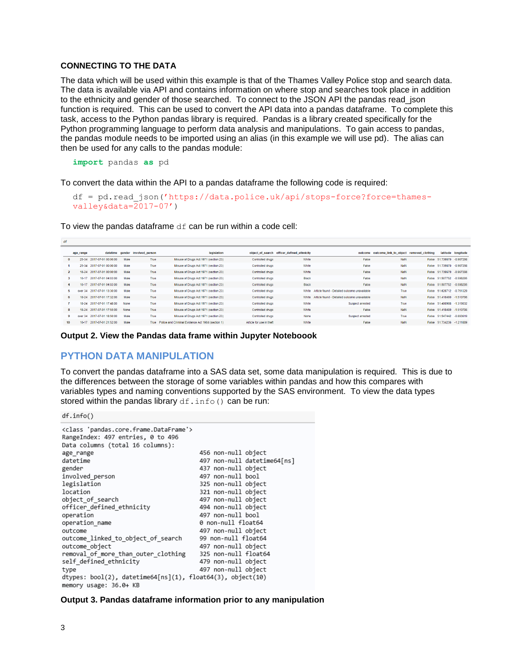## **CONNECTING TO THE DATA**

The data which will be used within this example is that of the Thames Valley Police stop and search data. The data is available via API and contains information on where stop and searches took place in addition to the ethnicity and gender of those searched. To connect to the JSON API the pandas read json function is required. This can be used to convert the API data into a pandas dataframe. To complete this task, access to the Python pandas library is required. Pandas is a library created specifically for the Python programming language to perform data analysis and manipulations. To gain access to pandas, the pandas module needs to be imported using an alias (in this example we will use pd). The alias can then be used for any calls to the pandas module:

**import** pandas **as** pd

To convert the data within the API to a pandas dataframe the following code is required:

```
df = pd.read_json('https://data.police.uk/api/stops-force?force=thames-
valley&data=2017-07')
```
To view the pandas dataframe  $df$  can be run within a code cell:

|                  |                | age_range | datetime                    | gender | involved person | legislation                                            |                          | object of search officer defined ethnicity | outcome                                      | outcome link to object removed clothing |       |                           | latitude longitude |
|------------------|----------------|-----------|-----------------------------|--------|-----------------|--------------------------------------------------------|--------------------------|--------------------------------------------|----------------------------------------------|-----------------------------------------|-------|---------------------------|--------------------|
|                  |                |           | 25-34 2017-07-01 00:00:00   | Male   | True            | Misuse of Drugs Act 1971 (section 23)                  | <b>Controlled drugs</b>  | White                                      | False                                        | NaN                                     |       | False 51.739670 -0.967298 |                    |
|                  |                |           | 25-34 2017-07-01 00:00:00   | Male   | True            | Misuse of Drugs Act 1971 (section 23)                  | <b>Controlled drugs</b>  | White                                      | False                                        | NaN                                     | False | 51.739670 -0.967298       |                    |
|                  | $\overline{2}$ |           | 18-24 2017-07-01 00:00:00   | Male   | True            | Misuse of Drugs Act 1971 (section 23)                  | Controlled drugs         | White                                      | False                                        | NaN                                     | False | 51.739670 -0.967298       |                    |
|                  |                |           | 10-17 2017-07-01 04:03:00   | Male   | True            | Misuse of Drugs Act 1971 (section 23)                  | Controlled drugs         | <b>Black</b>                               | False                                        | NaN                                     |       | False 51.507752 -0.598295 |                    |
|                  |                | $10-17$   | 2017-07-01 04:03:00         | Male   | <b>True</b>     | Misuse of Drugs Act 1971 (section 23)                  | <b>Controlled drugs</b>  | <b>Black</b>                               | False                                        | NaN                                     |       | False 51.507752 -0.598295 |                    |
|                  |                | mier 34   | 2017-07-01 13:30:00         | Male   | True            | Misuse of Drugs Act 1971 (section 23)                  | <b>Controlled drugs</b>  | White                                      | Article found - Detailed outcome unavailable | True                                    | False | 51.628712 -0.751329       |                    |
| 6                |                |           | 18-24 2017-07-01 17:32:00   | Male   | True            | Misuse of Drugs Act 1971 (section 23)                  | <b>Controlled drugs</b>  | White                                      | Article found - Detailed outcome unavailable | <b>NaN</b>                              |       | False 51.418490 -1.510796 |                    |
|                  |                | $18 - 24$ | 2017-07-01 17:48:00         | None   | True            | Misuse of Drugs Act 1971 (section 23)                  | <b>Controlled drugs</b>  | White                                      | <b>Suspect arrested</b>                      | True                                    | False | 51.400908 -1.319032       |                    |
| $\mathbf{R}$     |                |           | 18-24 2017-07-01 17:55:00   | None   | True            | Misuse of Drugs Act 1971 (section 23)                  | <b>Controlled drugs</b>  | White                                      | False                                        | NaN                                     |       | False 51.418490 -1.510796 |                    |
|                  |                |           | over 34 2017-07-01 18:50:00 | Male   | True            | Misuse of Drugs Act 1971 (section 23)                  | <b>Controlled drugs</b>  | None                                       | Suspect arrested                             | True                                    | False | 51.547442 -0.893619       |                    |
| 10 <sup>10</sup> |                | 10-17     | 2017-07-01 21:52:00         | Male   |                 | True Police and Criminal Evidence Act 1984 (section 1) | Article for use in theft | White                                      | False                                        | <b>NaN</b>                              |       | False 51.734236 -1.211889 |                    |
|                  |                |           |                             |        |                 |                                                        |                          |                                            |                                              |                                         |       |                           |                    |

**Output 2. View the Pandas data frame within Jupyter Noteboook**

## **PYTHON DATA MANIPULATION**

To convert the pandas dataframe into a SAS data set, some data manipulation is required. This is due to the differences between the storage of some variables within pandas and how this compares with variables types and naming conventions supported by the SAS environment. To view the data types stored within the pandas library df.info() can be run:

df.info()

| <class 'pandas.core.frame.dataframe'=""></class>           |                             |
|------------------------------------------------------------|-----------------------------|
| RangeIndex: 497 entries, 0 to 496                          |                             |
| Data columns (total 16 columns):                           |                             |
| age range                                                  | 456 non-null object         |
| datetime                                                   | 497 non-null datetime64[ns] |
| gender                                                     | 437 non-null object         |
| involved_person                                            | 497 non-null bool           |
| legislation                                                | 325 non-null object         |
| location                                                   | 321 non-null object         |
| object of search                                           | 497 non-null object         |
| officer defined ethnicity                                  | 494 non-null object         |
| operation                                                  | 497 non-null bool           |
| operation name                                             | 0 non-null float64          |
| outcome                                                    | 497 non-null object         |
| outcome linked to object of search                         | 99 non-null float64         |
| outcome object                                             | 497 non-null object         |
| removal of more than outer clothing                        | 325 non-null float64        |
| self defined ethnicity                                     | 479 non-null object         |
| type                                                       | 497 non-null object         |
| dtypes: bool(2), datetime64[ns](1), float64(3), object(10) |                             |
| memory usage: 36.0+ KB                                     |                             |

**Output 3. Pandas dataframe information prior to any manipulation**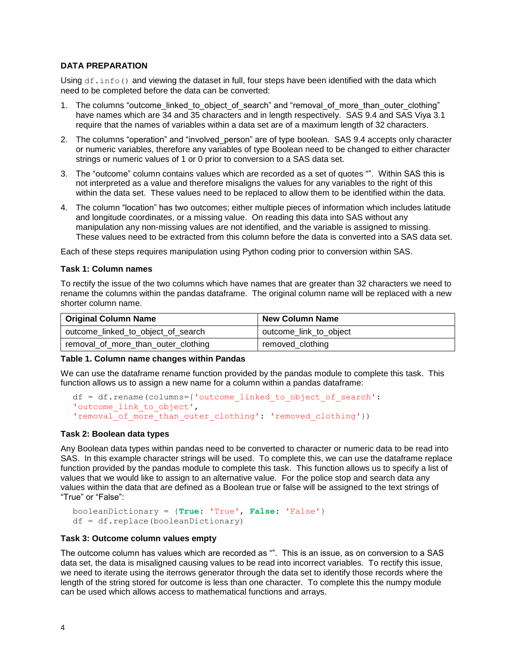## **DATA PREPARATION**

Using  $df \text{.info}()$  and viewing the dataset in full, four steps have been identified with the data which need to be completed before the data can be converted:

- 1. The columns "outcome linked to object of search" and "removal of more than outer clothing" have names which are 34 and 35 characters and in length respectively. SAS 9.4 and SAS Viya 3.1 require that the names of variables within a data set are of a maximum length of 32 characters.
- 2. The columns "operation" and "involved person" are of type boolean. SAS 9.4 accepts only character or numeric variables, therefore any variables of type Boolean need to be changed to either character strings or numeric values of 1 or 0 prior to conversion to a SAS data set.
- 3. The "outcome" column contains values which are recorded as a set of quotes "". Within SAS this is not interpreted as a value and therefore misaligns the values for any variables to the right of this within the data set. These values need to be replaced to allow them to be identified within the data.
- 4. The column "location" has two outcomes; either multiple pieces of information which includes latitude and longitude coordinates, or a missing value. On reading this data into SAS without any manipulation any non-missing values are not identified, and the variable is assigned to missing. These values need to be extracted from this column before the data is converted into a SAS data set.

Each of these steps requires manipulation using Python coding prior to conversion within SAS.

### **Task 1: Column names**

To rectify the issue of the two columns which have names that are greater than 32 characters we need to rename the columns within the pandas dataframe. The original column name will be replaced with a new shorter column name.

| <b>Original Column Name</b>         | <b>New Column Name</b> |  |  |  |  |
|-------------------------------------|------------------------|--|--|--|--|
| outcome_linked_to_object_of_search  | outcome_link_to_object |  |  |  |  |
| removal_of_more_than_outer_clothing | removed_clothing       |  |  |  |  |

### **Table 1. Column name changes within Pandas**

We can use the dataframe rename function provided by the pandas module to complete this task. This function allows us to assign a new name for a column within a pandas dataframe:

```
df = df.rename(columns={'outcome_linked_to_object_of_search': 
'outcome link to object',
'removal of more than outer clothing': 'removed clothing'})
```
### **Task 2: Boolean data types**

Any Boolean data types within pandas need to be converted to character or numeric data to be read into SAS. In this example character strings will be used. To complete this, we can use the dataframe replace function provided by the pandas module to complete this task. This function allows us to specify a list of values that we would like to assign to an alternative value. For the police stop and search data any values within the data that are defined as a Boolean true or false will be assigned to the text strings of "True" or "False":

```
booleanDictionary = {True: 'True', False: 'False'}
df = df.replace(booleanDictionary)
```
### **Task 3: Outcome column values empty**

The outcome column has values which are recorded as "". This is an issue, as on conversion to a SAS data set, the data is misaligned causing values to be read into incorrect variables. To rectify this issue, we need to iterate using the iterrows generator through the data set to identify those records where the length of the string stored for outcome is less than one character. To complete this the numpy module can be used which allows access to mathematical functions and arrays.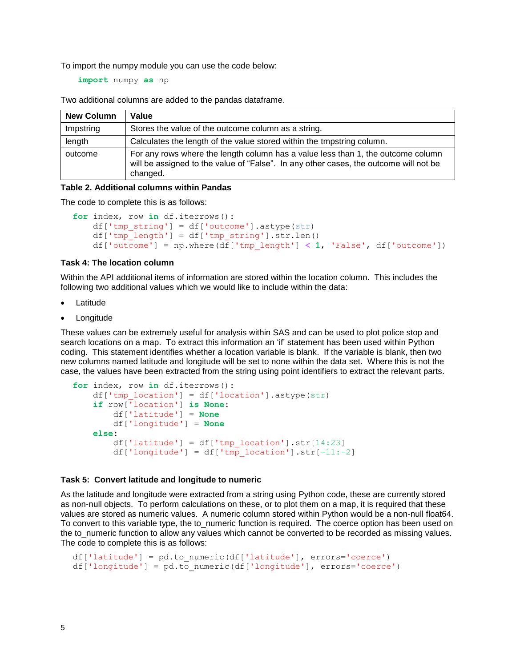To import the numpy module you can use the code below:

**import** numpy **as** np

Two additional columns are added to the pandas dataframe.

| <b>New Column</b> | Value                                                                                                                                                                                 |
|-------------------|---------------------------------------------------------------------------------------------------------------------------------------------------------------------------------------|
| tmpstring         | Stores the value of the outcome column as a string.                                                                                                                                   |
| length            | Calculates the length of the value stored within the tmpstring column.                                                                                                                |
| outcome           | For any rows where the length column has a value less than 1, the outcome column<br>will be assigned to the value of "False". In any other cases, the outcome will not be<br>changed. |

### **Table 2. Additional columns within Pandas**

The code to complete this is as follows:

```
for index, row in df.iterrows():
   df['tmp string'] = df['outcome'].astype(str)df['tmp'length'] = df['tmp string'].str.length() df['outcome'] = np.where(df['tmp_length'] < 1, 'False', df['outcome'])
```
### **Task 4: The location column**

Within the API additional items of information are stored within the location column. This includes the following two additional values which we would like to include within the data:

- **Latitude**
- **Longitude**

These values can be extremely useful for analysis within SAS and can be used to plot police stop and search locations on a map. To extract this information an 'if' statement has been used within Python coding. This statement identifies whether a location variable is blank. If the variable is blank, then two new columns named latitude and longitude will be set to none within the data set. Where this is not the case, the values have been extracted from the string using point identifiers to extract the relevant parts.

```
for index, row in df.iterrows():
     df['tmp_location'] = df['location'].astype(str)
     if row['location'] is None:
         df['latitude'] = None
         df['longitude'] = None
     else:
        df['latitude'] = df['tmp location'].str[14:23]
        df['longitude'] = df['tmp location'].str[-11:-2]
```
#### **Task 5: Convert latitude and longitude to numeric**

As the latitude and longitude were extracted from a string using Python code, these are currently stored as non-null objects. To perform calculations on these, or to plot them on a map, it is required that these values are stored as numeric values. A numeric column stored within Python would be a non-null float64. To convert to this variable type, the to\_numeric function is required. The coerce option has been used on the to numeric function to allow any values which cannot be converted to be recorded as missing values. The code to complete this is as follows:

```
df['latitude'] = pd.to_numeric(df['latitude'], errors='coerce')
df['longitude'] = pd.to_numeric(df['longitude'], errors='coerce')
```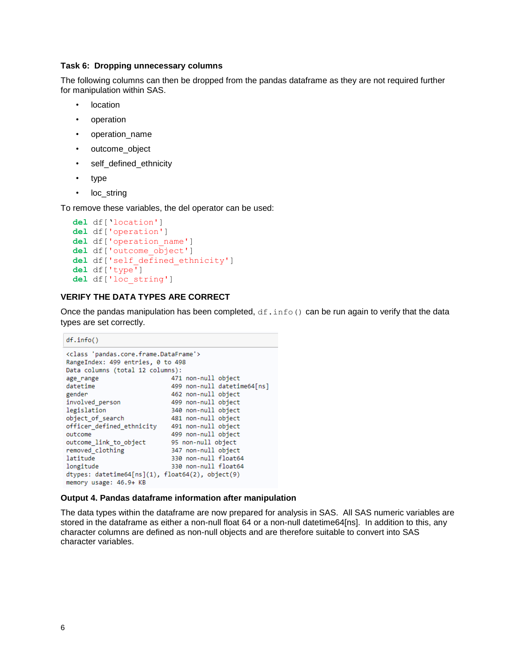### **Task 6: Dropping unnecessary columns**

The following columns can then be dropped from the pandas dataframe as they are not required further for manipulation within SAS.

- location
- operation
- operation\_name
- outcome\_object
- self defined ethnicity
- type
- loc\_string

To remove these variables, the del operator can be used:

```
del df['location']
del df['operation']
del df['operation_name']
del df['outcome_object']
del df['self_defined_ethnicity']
del df['type']
del df['loc_string']
```
## **VERIFY THE DATA TYPES ARE CORRECT**

Once the pandas manipulation has been completed,  $df \text{.info}()$  can be run again to verify that the data types are set correctly.

```
df.info()<class 'pandas.core.frame.DataFrame'>
RangeIndex: 499 entries, 0 to 498
Data columns (total 12 columns):
age range
                                     471 non-null object
                                    499 non-null datetime64[ns]
datetime
gender
                                   462 non-null object
involved_person
                                  499 non-null object
1001-0111 00ject<br>
legislation 340 non-null object<br>
object_of_search 481 non-null object<br>
officer_defined_ethnicity 491 non-null object<br>
outcome 499 non-null object
                                ayy non-null object<br>95 non-null object<br>אבסברת הייתוניים
outcome_link_to_object
removed_clothing
                                     347 non-null object
latitude
                                     330 non-null float64
longitude
                                     330 non-null float64
dtypes: datetime64[ns](1), float64(2), object(9)
memory usage: 46.9+ KB
```
#### **Output 4. Pandas dataframe information after manipulation**

The data types within the dataframe are now prepared for analysis in SAS. All SAS numeric variables are stored in the dataframe as either a non-null float 64 or a non-null datetime64[ns]. In addition to this, any character columns are defined as non-null objects and are therefore suitable to convert into SAS character variables.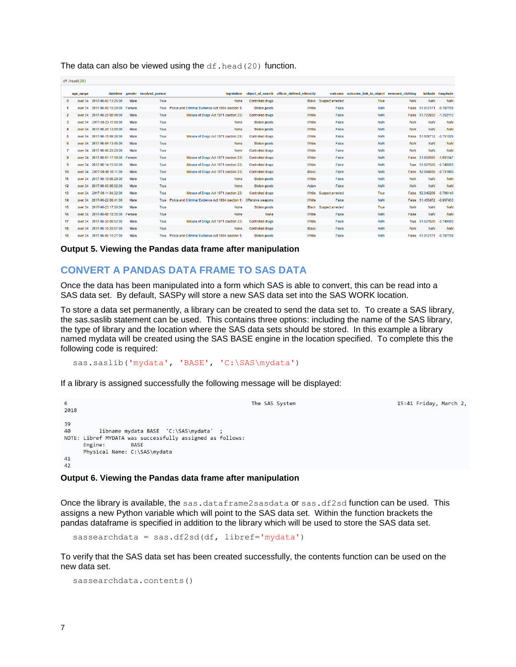The data can also be viewed using the  $df$ . head (20) function.

|                  | $d$ f.nead(20) |                             |        |                                 |                                                                     |                         |                                            |                        |                                                 |            |                     |                    |
|------------------|----------------|-----------------------------|--------|---------------------------------|---------------------------------------------------------------------|-------------------------|--------------------------------------------|------------------------|-------------------------------------------------|------------|---------------------|--------------------|
|                  |                |                             |        |                                 |                                                                     |                         |                                            |                        |                                                 |            |                     |                    |
|                  | age_range      |                             |        | datetime gender involved person | legislation                                                         |                         | object of search officer defined ethnicity |                        | outcome outcome link to object removed clothing |            |                     | latitude longitude |
|                  | $\mathbf{0}$   | over 34 2017-06-02 13:25:00 | Male   | True                            | None                                                                | Controlled drugs        |                                            | Black Suspect arrested | True                                            | <b>NaN</b> | <b>NaN</b>          | NaN                |
|                  |                | over 34 2017-06-06 15:20:00 | Female | True                            | Police and Criminal Evidence Act 1984 (section 1)                   | Stolen goods            | White                                      | False                  | <b>NaN</b>                                      | False      | 51.612171           | $-0.787758$        |
|                  | $\mathbf{2}$   | over 34 2017-06-25 00:48:00 | Male   | True                            | Misuse of Drugs Act 1971 (section 23)                               | <b>Controlled drugs</b> | White                                      | False                  | <b>NaN</b>                                      | False      | 51.722832           | $-1.202112$        |
| 3                |                | over 34 2017-06-23 11:00:00 | Male   | True                            | None                                                                | Stolen goods            | White                                      | False                  | <b>NaN</b>                                      | <b>NaN</b> | <b>NaN</b>          | NaN                |
| 4                |                | over 34 2017-06-26 12:05:00 | Male   | True                            | None                                                                | Stolen goods            | White                                      | False                  | <b>NaN</b>                                      | <b>NaN</b> | <b>NaN</b>          | <b>NaN</b>         |
|                  | 5              | over 34 2017-06-15 09:28:00 | Male   | True                            | Misuse of Drugs Act 1971 (section 23)                               | <b>Controlled drugs</b> | White                                      | False                  | <b>NaN</b>                                      | False      | 51.628712           | $-0.751329$        |
|                  | 6              | over 34 2017-06-04 13:45:00 | Male   | True                            | None                                                                | Stolen goods            | White                                      | False                  | <b>NaN</b>                                      | <b>NaN</b> | NaN                 | <b>NaN</b>         |
|                  |                | over 34 2017-06-06 20:20:00 | Male   | True                            | None                                                                | <b>Controlled drugs</b> | White                                      | False                  | NaN                                             | <b>NaN</b> | <b>NaN</b>          | <b>NaN</b>         |
|                  | 8              | over 34 2017-06-01 17:16:00 | Female | True                            | Misuse of Drugs Act 1971 (section 23)                               | <b>Controlled drugs</b> | White                                      | False                  | <b>NaN</b>                                      | False      | 51.850595           | $-1.091347$        |
|                  | 9              | over 34 2017-06-14 15:02:00 | Male   | True                            | Misuse of Drugs Act 1971 (section 23)                               | Controlled drugs        | White                                      | False                  | NaN                                             | True       | 51.627520           | $-0.749093$        |
| 10 <sup>10</sup> |                | over 34 2017-06-05 18:11:00 | Male   | True                            | Misuse of Drugs Act 1971 (section 23)                               | <b>Controlled drugs</b> | <b>Black</b>                               | False                  | <b>NaN</b>                                      | False      | 52.004930           | $-0.731680$        |
| 11               |                | over 34 2017-06-19 05:28:00 | Male   | True                            | None                                                                | Stolen goods            | White                                      | False                  | <b>NaN</b>                                      | NaN        | NaN                 | NaN                |
| 12 <sup>2</sup>  |                | over 34 2017-06-03 05:02:00 | Male   | True                            | None                                                                | Stolen goods            | Asian                                      | False                  | <b>NaN</b>                                      | <b>NaN</b> | <b>NaN</b>          | <b>NaN</b>         |
| 13               |                | over 34 2017-06-11 04:32:00 | Male   | True                            | Misuse of Drugs Act 1971 (section 23)                               | <b>Controlled drugs</b> | White                                      | Suspect arrested       | True                                            | False      | 52.040209           | $-0.766140$        |
| 14               |                | over 34 2017-06-22 08:41:00 | Male   | True                            | Police and Criminal Evidence Act 1984 (section 1) Offensive weapons |                         | White                                      | False                  | <b>NaN</b>                                      | False      | 51.455472           | $-0.967433$        |
| 15               |                | over 34 2017-06-23 17:30:00 | Male   | True                            | None                                                                | Stolen goods            | <b>Black</b>                               | Suspect arrested       | True                                            | NaN        | <b>NaN</b>          | NaN                |
| 16               | over 34        | 2017-06-08 18:35:00         | Female | True                            | <b>None</b>                                                         | <b>None</b>             | White                                      | False                  | <b>NaN</b>                                      | False      | <b>NaN</b>          | NaN                |
| 17               |                | over 34 2017-06-30 08:52:00 | Male   | True                            | Misuse of Drugs Act 1971 (section 23)                               | <b>Controlled drugs</b> | White                                      | False                  | <b>NaN</b>                                      | True       | 51.627520           | $-0.749093$        |
| 18               |                | over 34 2017-06-10 20:01:00 | Male   | True                            | None                                                                | <b>Controlled drugs</b> | <b>Black</b>                               | False                  | <b>NaN</b>                                      | <b>NaN</b> | <b>NaN</b>          | <b>NaN</b>         |
| 19               |                | over 34 2017-06-06 15:27:00 | Male   | True                            | Police and Criminal Evidence Act 1984 (section 1)                   | Stolen goods            | White                                      | False                  | <b>NaN</b>                                      | False      | 51.612171 -0.787758 |                    |
|                  |                |                             |        |                                 |                                                                     |                         |                                            |                        |                                                 |            |                     |                    |

**Output 5. Viewing the Pandas data frame after manipulation**

# **CONVERT A PANDAS DATA FRAME TO SAS DATA**

Once the data has been manipulated into a form which SAS is able to convert, this can be read into a SAS data set. By default, SASPy will store a new SAS data set into the SAS WORK location.

To store a data set permanently, a library can be created to send the data set to. To create a SAS library, the sas.saslib statement can be used. This contains three options: including the name of the SAS library, the type of library and the location where the SAS data sets should be stored. In this example a library named mydata will be created using the SAS BASE engine in the location specified. To complete this the following code is required:

sas.saslib('mydata', 'BASE', 'C:\SAS\mydata')

If a library is assigned successfully the following message will be displayed:

The SAS System

15:41 Friday, March 2,

```
39
          libname mydata BASE 'C:\SAS\mydata'
40
NOTE: Libref MYDATA was successfully assigned as follows:
      Engine:
                   BASE
      Physical Name: C:\SAS\mydata
41
42
```
### **Output 6. Viewing the Pandas data frame after manipulation**

Once the library is available, the sas.dataframe2sasdata or sas.df2sd function can be used. This assigns a new Python variable which will point to the SAS data set. Within the function brackets the pandas dataframe is specified in addition to the library which will be used to store the SAS data set.

sassearchdata = sas.df2sd(df, libref='mydata')

To verify that the SAS data set has been created successfully, the contents function can be used on the new data set.

```
sassearchdata.contents()
```
 $6^{\circ}$ 

2018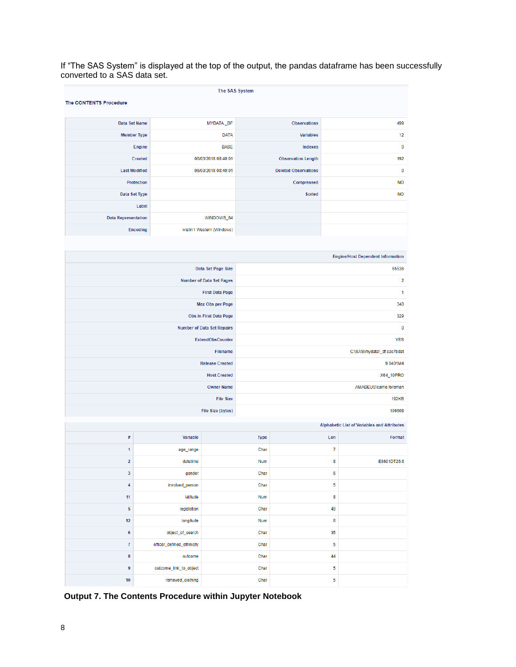If "The SAS System" is displayed at the top of the output, the pandas dataframe has been successfully converted to a SAS data set.

| The SAS System                |                           |                                   |                            |                             |        |                                                    |  |  |  |  |  |
|-------------------------------|---------------------------|-----------------------------------|----------------------------|-----------------------------|--------|----------------------------------------------------|--|--|--|--|--|
| <b>The CONTENTS Procedure</b> |                           |                                   |                            |                             |        |                                                    |  |  |  |  |  |
|                               |                           |                                   |                            |                             |        |                                                    |  |  |  |  |  |
| Data Set Name                 |                           | MYDATA_DF                         |                            | <b>Observations</b>         |        | 499                                                |  |  |  |  |  |
| <b>Member Type</b>            |                           | <b>DATA</b>                       |                            | <b>Variables</b>            |        | 12                                                 |  |  |  |  |  |
| Engine                        |                           | <b>BASE</b>                       |                            | Indexes                     |        | $\pmb{0}$                                          |  |  |  |  |  |
| <b>Created</b>                |                           | 06/03/2018 08:40:01               |                            | <b>Observation Length</b>   |        | 192                                                |  |  |  |  |  |
| <b>Last Modified</b>          |                           | 06/03/2018 08:40:01               |                            | <b>Deleted Observations</b> |        | $\pmb{0}$                                          |  |  |  |  |  |
| <b>Protection</b>             |                           |                                   |                            | Compressed                  |        | <b>NO</b>                                          |  |  |  |  |  |
| Data Set Type                 |                           |                                   |                            | <b>Sorted</b>               |        | <b>NO</b>                                          |  |  |  |  |  |
|                               | Label                     |                                   |                            |                             |        |                                                    |  |  |  |  |  |
| <b>Data Representation</b>    |                           | WINDOWS_64                        |                            |                             |        |                                                    |  |  |  |  |  |
| <b>Encoding</b>               |                           | wlatin1 Western (Windows)         |                            |                             |        |                                                    |  |  |  |  |  |
|                               |                           |                                   |                            |                             |        |                                                    |  |  |  |  |  |
|                               |                           |                                   |                            |                             |        | <b>Engine/Host Dependent Information</b>           |  |  |  |  |  |
|                               |                           | Data Set Page Size                |                            |                             |        | 65536                                              |  |  |  |  |  |
|                               |                           | Number of Data Set Pages          |                            |                             |        | 2                                                  |  |  |  |  |  |
|                               |                           | <b>First Data Page</b>            |                            |                             |        | 1                                                  |  |  |  |  |  |
|                               |                           | Max Obs per Page                  | 340                        |                             |        |                                                    |  |  |  |  |  |
|                               |                           | Obs in First Data Page            | 329                        |                             |        |                                                    |  |  |  |  |  |
|                               |                           | <b>Number of Data Set Repairs</b> |                            |                             |        | $\bf{0}$                                           |  |  |  |  |  |
|                               |                           | ExtendObsCounter                  |                            |                             |        | <b>YES</b>                                         |  |  |  |  |  |
|                               |                           | <b>Filename</b>                   | C:\SAS\mydata\_df.sas7bdat |                             |        |                                                    |  |  |  |  |  |
|                               |                           | <b>Release Created</b>            | 9.0401M4                   |                             |        |                                                    |  |  |  |  |  |
|                               |                           | <b>Host Created</b>               | X64_10PRO                  |                             |        |                                                    |  |  |  |  |  |
|                               |                           | <b>Owner Name</b>                 | AMADEUS\carrie.foreman     |                             |        |                                                    |  |  |  |  |  |
|                               |                           | <b>File Size</b>                  |                            |                             |        | <b>192KB</b>                                       |  |  |  |  |  |
|                               |                           | File Size (bytes)                 |                            |                             |        | 196608                                             |  |  |  |  |  |
|                               |                           |                                   |                            |                             |        | <b>Alphabetic List of Variables and Attributes</b> |  |  |  |  |  |
| $\#$                          | Variable                  |                                   |                            |                             |        |                                                    |  |  |  |  |  |
|                               |                           |                                   | <b>Type</b>                |                             | Len    | Format                                             |  |  |  |  |  |
| 1                             | age_range                 |                                   | Char                       |                             | 7      |                                                    |  |  |  |  |  |
| $\overline{\mathbf{2}}$       | datetime                  |                                   | Num                        |                             | 8      | E8601DT26.6                                        |  |  |  |  |  |
| 3                             | gender                    |                                   | Char                       |                             | 6      |                                                    |  |  |  |  |  |
| 4                             | involved_person           |                                   | Char<br><b>Num</b>         |                             | 5<br>8 |                                                    |  |  |  |  |  |
|                               | 11<br>latitude            |                                   |                            |                             |        |                                                    |  |  |  |  |  |
|                               | 5<br>legislation          |                                   |                            |                             |        |                                                    |  |  |  |  |  |
|                               | 12<br>longitude           |                                   |                            |                             |        |                                                    |  |  |  |  |  |
| $\boldsymbol{6}$              | object_of_search          |                                   | Char                       |                             | 35     |                                                    |  |  |  |  |  |
| $\boldsymbol{7}$              | officer_defined_ethnicity |                                   | Char                       |                             | 5      |                                                    |  |  |  |  |  |
| $\pmb{8}$                     | outcome                   |                                   | Char                       |                             | 44     |                                                    |  |  |  |  |  |
| 9                             | outcome_link_to_object    |                                   | Char                       |                             | 5      |                                                    |  |  |  |  |  |
| 10                            | removed_clothing          |                                   | Char                       |                             | 5      |                                                    |  |  |  |  |  |

**Output 7. The Contents Procedure within Jupyter Notebook**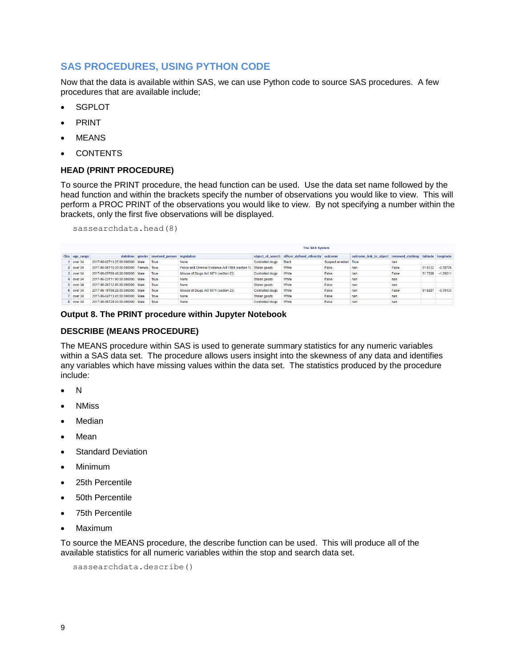# **SAS PROCEDURES, USING PYTHON CODE**

Now that the data is available within SAS, we can use Python code to source SAS procedures. A few procedures that are available include;

- **SGPLOT**
- PRINT
- **MEANS**
- **CONTENTS**

### **HEAD (PRINT PROCEDURE)**

To source the PRINT procedure, the head function can be used. Use the data set name followed by the head function and within the brackets specify the number of observations you would like to view. This will perform a PROC PRINT of the observations you would like to view. By not specifying a number within the brackets, only the first five observations will be displayed.

sassearchdata.head(8)

|               |                                 |             |                                 |                                                   |                         | <b>The SAS System</b>                              |                       |                                         |       |         |                    |
|---------------|---------------------------------|-------------|---------------------------------|---------------------------------------------------|-------------------------|----------------------------------------------------|-----------------------|-----------------------------------------|-------|---------|--------------------|
| Obs age_range |                                 |             | datetime gender involved person | legislation                                       |                         | object of search officer defined ethnicity outcome |                       | outcome link to object removed clothing |       |         | latitude longitude |
| over 34       | 2017-06-02T13:25:00.000000      | Male        | True                            | None                                              | <b>Controlled drugs</b> | <b>Black</b>                                       | Suspect arrested True |                                         | nan   |         |                    |
| 2 over 34     | 2017-06-06T15:20:00.000000      | Female True |                                 | Police and Criminal Evidence Act 1984 (section 1) | Stolen goods            | White                                              | False                 | nan                                     | False | 51.6122 | $-0.78776$         |
| 3 over 34     | 2017-06-25T00:48:00 000000 Male |             | True                            | Misuse of Drugs Act 1971 (section 23)             | <b>Controlled drugs</b> | White                                              | False                 | nan                                     | False | 51.7228 | $-1.20211$         |
| 4 over 34     | 2017-06-23T11:00:00.000000 Male |             | True                            | None                                              | Stolen goods            | White                                              | False                 | nan                                     | nan   |         |                    |
| 5 over 34     | 2017-06-26T12:05:00 000000 Male |             | True                            | None                                              | Stolen goods            | White                                              | False                 | nan                                     | nan   |         |                    |
| 6 over 34     | 2017-06-15T09:28:00.000000 Male |             | True                            | Misuse of Drugs Act 1971 (section 23)             | <b>Controlled drugs</b> | White                                              | False                 | nan                                     | False | 51,6287 | $-0.75133$         |
| $7$ over 34   | 2017-06-04T13:45:00.000000 Male |             | True                            | None                                              | Stolen goods            | White                                              | False                 | nan                                     | nan   |         |                    |
| 8 over 34     | 2017-06-06T20:20:00.000000 Male |             | True                            | None                                              | <b>Controlled drugs</b> | White                                              | False                 | nan                                     | nan   |         |                    |

### **Output 8. The PRINT procedure within Jupyter Notebook**

### **DESCRIBE (MEANS PROCEDURE)**

The MEANS procedure within SAS is used to generate summary statistics for any numeric variables within a SAS data set. The procedure allows users insight into the skewness of any data and identifies any variables which have missing values within the data set. The statistics produced by the procedure include:

- $\overline{N}$
- NMiss
- Median
- Mean
- **Standard Deviation**
- Minimum
- 25th Percentile
- 50th Percentile
- 75th Percentile
- Maximum

To source the MEANS procedure, the describe function can be used. This will produce all of the available statistics for all numeric variables within the stop and search data set.

```
sassearchdata.describe()
```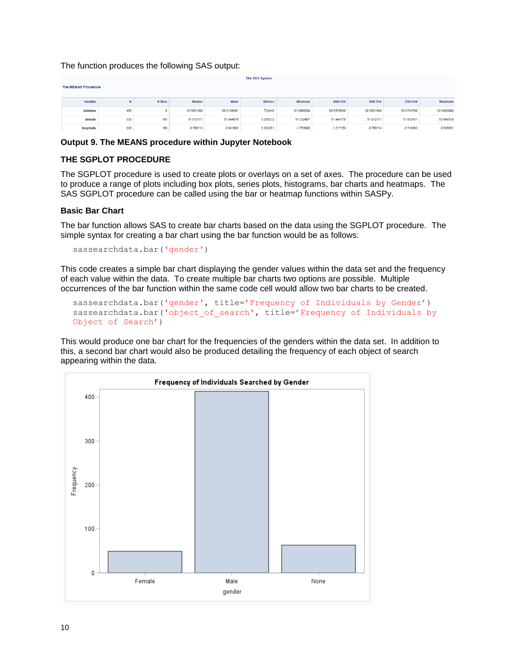The function produces the following SAS output:

|           | The SAS System<br><b>The MEANS Procedure</b> |               |             |             |                |                |             |             |             |             |  |  |  |  |  |
|-----------|----------------------------------------------|---------------|-------------|-------------|----------------|----------------|-------------|-------------|-------------|-------------|--|--|--|--|--|
| Variable  | N                                            | <b>N</b> Miss | Median      | Mean        | <b>Std Dev</b> | <b>Minimum</b> | 25th Pctl   | 50th Pctl   | 75th Pctl   | Maximum     |  |  |  |  |  |
| datetime  | 499                                          |               | 1813001460  | 1813109491  | 733649         | 1811896200     | 1812576540  | 1813001460  | 1813764780  | 1814481960  |  |  |  |  |  |
| latitude  | 330                                          | 169           | 51.612171   | 51.644976   | 0.258232       | 51.332407      | 51.449778   | 51.612171   | 51.802931   | 53.949318   |  |  |  |  |  |
| longitude | 330                                          | 169           | $-0.798114$ | $-0.941903$ | 0.262051       | $-1.751645$    | $-1.217150$ | $-0.798114$ | $-0.749093$ | $-0.549811$ |  |  |  |  |  |

### **Output 9. The MEANS procedure within Jupyter Notebook**

## **THE SGPLOT PROCEDURE**

The SGPLOT procedure is used to create plots or overlays on a set of axes. The procedure can be used to produce a range of plots including box plots, series plots, histograms, bar charts and heatmaps. The SAS SGPLOT procedure can be called using the bar or heatmap functions within SASPy.

### **Basic Bar Chart**

The bar function allows SAS to create bar charts based on the data using the SGPLOT procedure. The simple syntax for creating a bar chart using the bar function would be as follows:

sassearchdata.bar('gender')

This code creates a simple bar chart displaying the gender values within the data set and the frequency of each value within the data. To create multiple bar charts two options are possible. Multiple occurrences of the bar function within the same code cell would allow two bar charts to be created.

```
sassearchdata.bar('gender', title='Frequency of Individuals by Gender')
sassearchdata.bar('object of search', title='Frequency of Individuals by
Object of Search')
```
This would produce one bar chart for the frequencies of the genders within the data set. In addition to this, a second bar chart would also be produced detailing the frequency of each object of search appearing within the data.

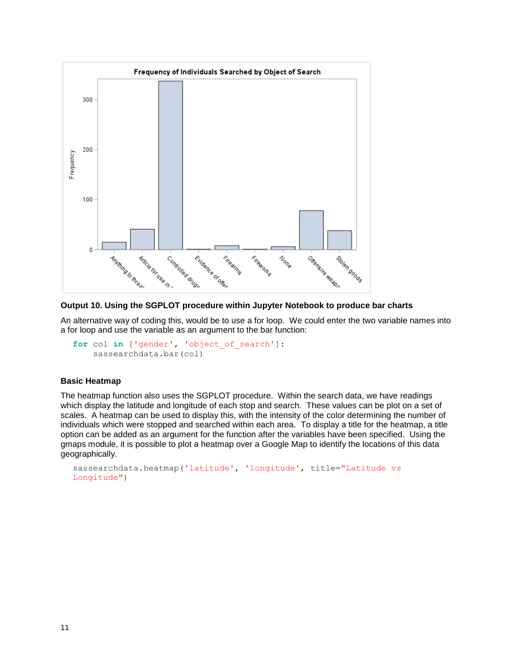

## **Output 10. Using the SGPLOT procedure within Jupyter Notebook to produce bar charts**

An alternative way of coding this, would be to use a for loop. We could enter the two variable names into a for loop and use the variable as an argument to the bar function:

```
for col in ['gender', 'object_of_search']:
     sassearchdata.bar(col)
```
### **Basic Heatmap**

The heatmap function also uses the SGPLOT procedure. Within the search data, we have readings which display the latitude and longitude of each stop and search. These values can be plot on a set of scales. A heatmap can be used to display this, with the intensity of the color determining the number of individuals which were stopped and searched within each area. To display a title for the heatmap, a title option can be added as an argument for the function after the variables have been specified. Using the gmaps module, it is possible to plot a heatmap over a Google Map to identify the locations of this data geographically.

```
sassearchdata.heatmap('latitude', 'longitude', title="Latitude vs 
Longitude")
```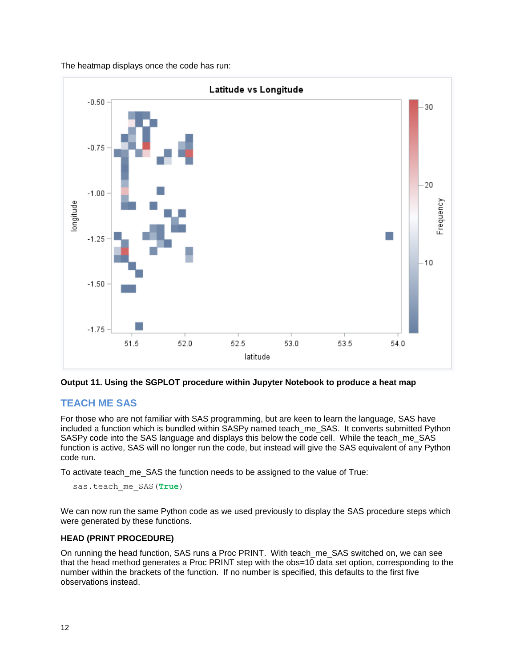The heatmap displays once the code has run:



**Output 11. Using the SGPLOT procedure within Jupyter Notebook to produce a heat map**

# **TEACH ME SAS**

For those who are not familiar with SAS programming, but are keen to learn the language, SAS have included a function which is bundled within SASPy named teach me SAS. It converts submitted Python SASPy code into the SAS language and displays this below the code cell. While the teach me SAS function is active, SAS will no longer run the code, but instead will give the SAS equivalent of any Python code run.

To activate teach\_me\_SAS the function needs to be assigned to the value of True:

```
sas.teach me SAS(True)
```
We can now run the same Python code as we used previously to display the SAS procedure steps which were generated by these functions.

## **HEAD (PRINT PROCEDURE)**

On running the head function, SAS runs a Proc PRINT. With teach me SAS switched on, we can see that the head method generates a Proc PRINT step with the obs=10 data set option, corresponding to the number within the brackets of the function. If no number is specified, this defaults to the first five observations instead.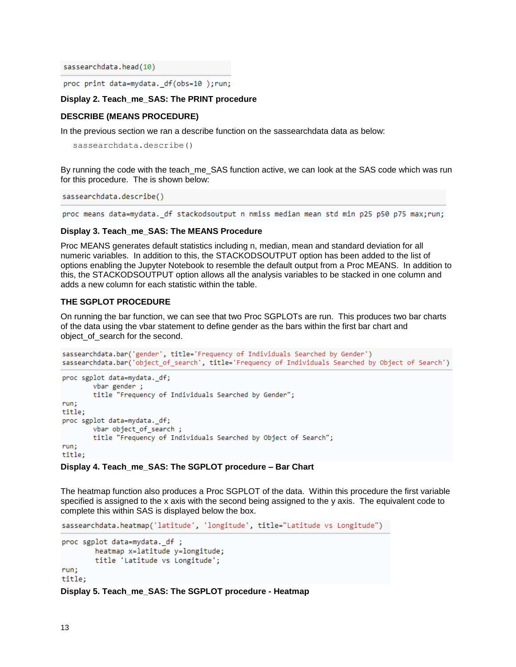sassearchdata.head(10)

proc print data=mydata.\_df(obs=10);run;

### **Display 2. Teach\_me\_SAS: The PRINT procedure**

### **DESCRIBE (MEANS PROCEDURE)**

In the previous section we ran a describe function on the sassearchdata data as below:

sassearchdata.describe()

By running the code with the teach me\_SAS function active, we can look at the SAS code which was run for this procedure. The is shown below:

sassearchdata.describe()

proc means data=mydata.\_df stackodsoutput n nmiss median mean std min p25 p50 p75 max;run;

### **Display 3. Teach\_me\_SAS: The MEANS Procedure**

Proc MEANS generates default statistics including n, median, mean and standard deviation for all numeric variables. In addition to this, the STACKODSOUTPUT option has been added to the list of options enabling the Jupyter Notebook to resemble the default output from a Proc MEANS. In addition to this, the STACKODSOUTPUT option allows all the analysis variables to be stacked in one column and adds a new column for each statistic within the table.

### **THE SGPLOT PROCEDURE**

On running the bar function, we can see that two Proc SGPLOTs are run. This produces two bar charts of the data using the vbar statement to define gender as the bars within the first bar chart and object\_of\_search for the second.

```
sassearchdata.bar('gender', title='Frequency of Individuals Searched by Gender')
sassearchdata.bar('object of search', title='Frequency of Individuals Searched by Object of Search')
```

```
proc sgplot data=mydata._df;
       vbar gender;
        title "Frequency of Individuals Searched by Gender";
run;
title:
proc sgplot data=mydata. df;
        vbar object of search;
        title "Frequency of Individuals Searched by Object of Search";
run;title:
```
### **Display 4. Teach\_me\_SAS: The SGPLOT procedure – Bar Chart**

The heatmap function also produces a Proc SGPLOT of the data. Within this procedure the first variable specified is assigned to the x axis with the second being assigned to the y axis. The equivalent code to complete this within SAS is displayed below the box.

sassearchdata.heatmap('latitude', 'longitude', title="Latitude vs Longitude")

```
proc sgplot data=mydata._df ;
        heatmap x=latitude y=longitude;
        title 'Latitude vs Longitude';
run;
title;
```
**Display 5. Teach\_me\_SAS: The SGPLOT procedure - Heatmap**